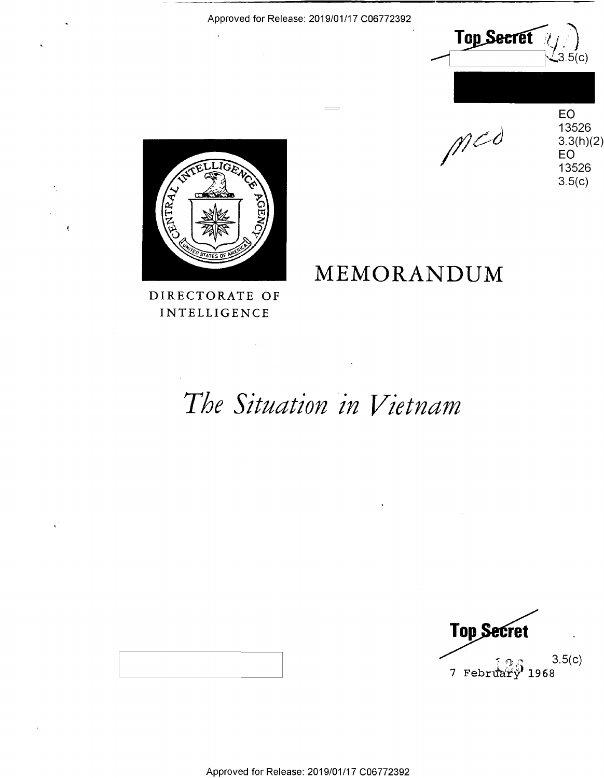Top Secret  $\left\langle \bigvee_{3.5(c)} \right\rangle$ 

 $M$ 

**MEMORANDUM**  MEMORANDUM

EO 13526 13526 3.3(h)(2) EO 13526  $3.5(c)$ z: EO and the state of the state of the state of the state of the state of the state of the state of the state

\_——



DIRECTORATE OF DIRECTORATE OF **INTELLIGENCE** 

# The Situation in Vietnam

 $\gamma_{\text{on}}$  3.5(c)  $7$  February 1968 **Top Secret** 

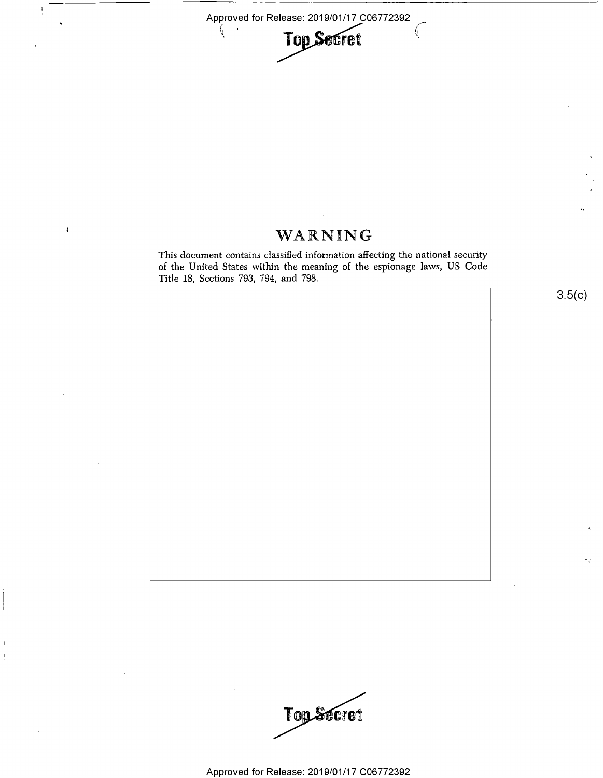

## WARNING

 $\overline{\mathbf{f}}$ 

This document contains classified information affecting the national security This document contains classified information affecting the national. security of the United States within the meaning of the espionage laws, US Code of the United States within the meaning of the espionage laws, US Code Title 18, Sections 793, 794, and 798.



Top Secret

Approved for Release: 2019/01/17 C06772392 Approved for Release: 2019/01/17 006772392

 $3.5(c)$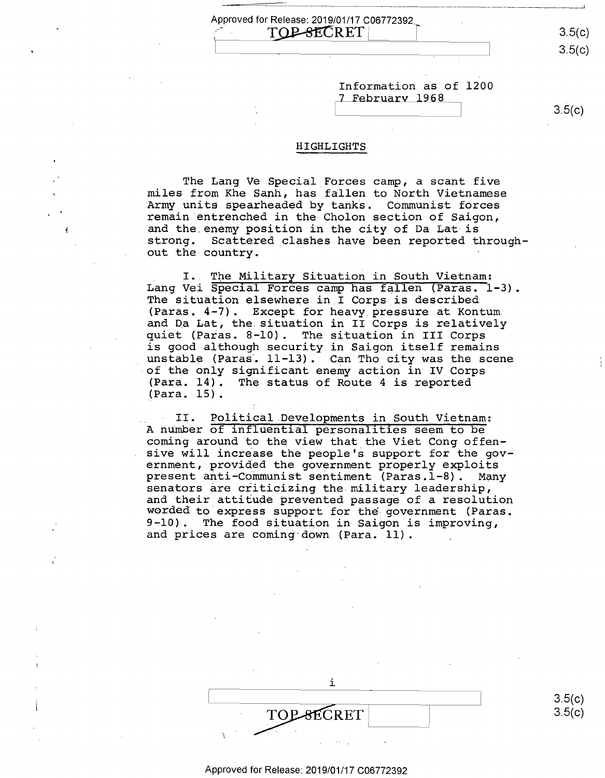$3.5(c)$  $3.5(c)$ 

Information as of 1200 Information as of 1200 7 February 1968

 $3.5(c)$ 

#### HIGHLIGHTS HIGHLIGHTS

I

Approved for Release: 2019/01/17 C06772392<br>  $\begin{array}{|c|c|c|}\hline & & \text{TOP-SECRET} & \hline \end{array}$ 

TOP-SECRET

The Lang Ve Special Forces camp, a scant five miles from Khe Sanh, has fallen to North Vietnamese miles from Khe Sanh, has fallen to North Vietnamese Army units spearheaded by tanks. Communist forces Army unite spearheaded by tanks. Communist forces remain entrenched in the Cholon section of Saigon, and the.enemy position in the city of Da Lat is and the enemy position in the city of Da Lat-is strong. Scattered clashes have been reported through-strong. Scattered clashes have been reported through out the country. out the-country- '

I. The Military Situation in South Vietnam: Lang Vei Special Forces camp has fallen (Paras. 1-3). The situation elsewhere in I Corps is described The situation elsewhere in\_I Corps is described (Paras. 4~7). Except for heavy pressure at Kontum (Paras. 4&7). Except for heavy\_pressure at Kontum. and Da Lat, the situation in II Corps is relatively quiet (Paras. 8-10). The situation in III Corps quiet (Paras. 8-10). The situation in III Corps is good although security in Saigon itself remains is good although security in Saigon itself remains unstable (Paras: 11-13). Can Tho city was the scene . unstable (Paras; 11-13). Can Tho city was the scene of the only significant enemy action in IV Corps .of the only significant enemy action in IV Corps (Para. 14). The status of Route 4 is reported (Para. 14). The status of Route <sup>4</sup> is reported (Para. 15). (Para. 15).

II. Political Developments in South Vietnam: H II. Political Developments in South Vietnam: A number of influential personalities seem to be A number of influential personalities seem to be corning around to the view that the Viet Cong offen-coming around to the View that the Viet Cong offen sive will incr~ase the people'~ support for the gov-sive will increase the'pe0ple's support for the gov- ernment, provided the government properly exploits ernment, provided the government properly exploits present anti-Communist sentiment (Paras.l-8). Many senators are criticizing the military leadership, senators are criticizing the military leadership, and their attitude prevented passage of a resolution and their attitude prevented passage of <sup>a</sup> resolution worded to.express support for the- government (Paras. worded to express support for the-government (Paras. 9-10). The food situation in Saigon is improving, 9-10). The food situation in Saigon is improving, and prices are coming down (Para. 11).

| 3.5(c) |
|--------|
| 3.5(c) |
|        |
|        |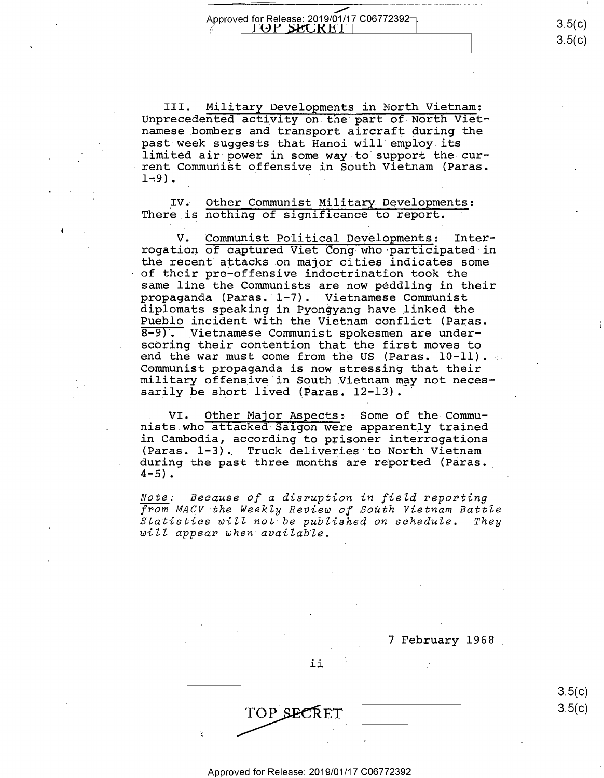$\overline{\phantom{0}}$ Approved for Release: 2019/01/17 C06772392<br><u>Annual **I**OP\_SECREI</u> | Approved for Release: 2019/01/17 C06772392<br>  $\begin{array}{|c|c|c|c|c|}\n\hline\n\text{4.5} & 3.5 \text{(c)}\n\hline\n\end{array}$ 

3.5(c) 3.5(c)

III. Military Developments in North Vietnam: III. Military Developments in North Vietnam; Unprecedented activity on the part of North Vietnamese bombers and transport aircraft during the namese bombers and transport aircraft during the past week suggests that Hanoi will· employ its past week suggests that Hanoi will employ.its limited air power in some way to support the cur-limited air power in some way to support the-cur rent Communist offensive in South Vietnam (Paras. rent CommuniSt offensive in South Vietnam (Paras.  $1-9$ ).

IV. Other Communist Military Developments: There is nothing of significance to report.

V. Communist Political Developments: Interrogation of captured Viet Cong who participated in the recent attacks on major cities indicates some the recent'attacks.on major cities indicates some of their pre-offensive indoctrination took the of their pre-offensive indoctrination took the same line the Communists are now peddling in their same line the Communists are now peddling in their propaganda (Paras. 1-7). Vietnamese Communist propaganda (Paras.'l—7). Vietnamese Communist diplomats speaking in Pyongyang have linked the Pueblo incident with the Vietnam conflict (Paras. Pueblo incident with the Vietnam COnflict (Paras. 8-9). Vietnamese Communist spokesmen are underscoring their contention that the first moves to scoring their contention that the first moves to end the war must come from the US (Paras. 10-11). Communist propaganda is now stressing that their Communist propaganda is now stressing that their Journalisty propagance as now servesting that their milledly clientive in Boden vicenda may<br>sarily be short lived (Paras. 12-13).

VI. Other Major Aspects: Some of the Commu-. VI. Other Major Aspects: Some of the-Communists.who attacked Saigon were apparently trained in Cambodia, according to prisoner interrogations in Cambodia, according to prisoner interrogations (Paras. 1-3) •. Truck deliveries·to North Vietnam (Paras. l-3). Truck deliveries to North Vietnam during the past three months are reported (Paras. during the past three months are reported (Paras.l 4-5) • 4-5).

*Note: Because of a disruption in fieZd reporting*  Note:- Because of <sup>a</sup> disruption in field reporting *from MACV the WeekZy Review of South Vietnam BattZe*  from MACV-the Weekly Review of South Vietnam Battle *Statistics wiZZ not be published on schedule, They*  Statistics will not-be published on schedule. They *wiZZ appear when·avaiZab·Ze.*  will appear when available.

7 February 1968 7 February 1968\_

ii ii

TOP SECRET  $3.5(C)$ 

3.5(c) 3.5(c)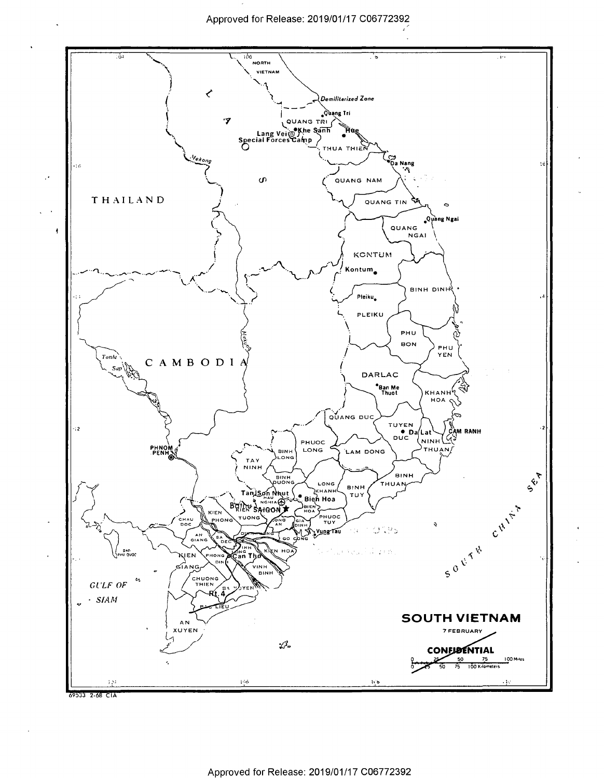

 $\cdot$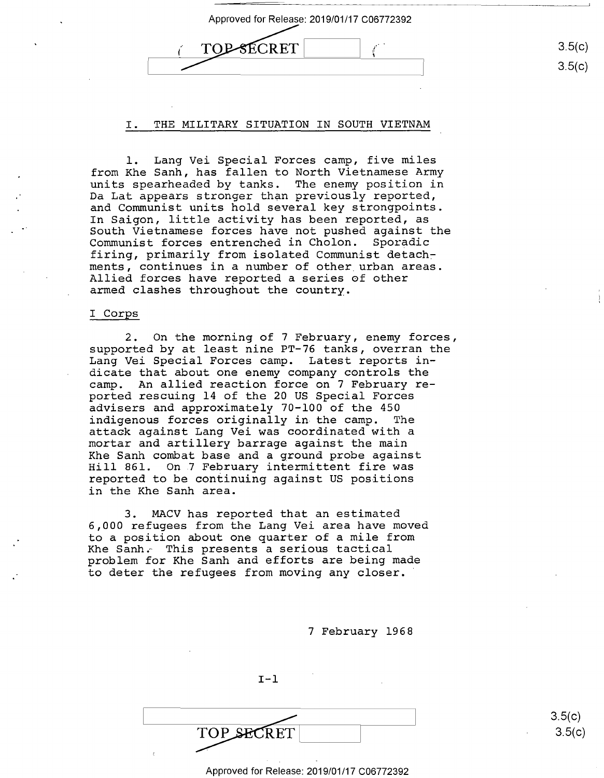| 3.5(c) |
|--------|
| 3.5(c) |

## I. THE MILITARY SITUATION IN SOUTH VIETNAM I. THE MILITARY SITUATION IN SOUTH VIETNAM

1. Lang Vei Special Forces camp, five miles l. Lang Vei Special Forces camp, five miles from Khe Sanh, has fallen to North Vietnamese Army units spearheaded by tanks. The enemy position in units spearheaded by tanks. The enemy position in minum spensive and since the compared than  $\frac{1}{2}$  reported, and Communist units hold several key strongpoints. and Communist units hold several key strongpoints. In Saigon, little activity has been reported, as In Saigon, little activity has been reported, as South Vietnamese forces have not pushed against the South Vietnamese forces have not pushed against the Communist forces entrenched in Cholon. Sporadic Communist forces entrenched in Cholon. Sporadic firing, primarily from isolated Communist detach:- firing, primarily from isolated Communist detach: ments, continues in a number of other urban areas. ments, continues in <sup>a</sup> number of other\_urban areas. Allied forces have reported a series of other Allied forces have reported <sup>a</sup> series of other armed clashes throughout the country. armed clashes throughout the country.

### I Corps I Corps

2. On the morning of 7 February, enemy forces, 2. On the morning of 7 February, enemy forces, supported by at least nine PT-76 tanks, overran the supported by at least nine PT-76 tanks, overran the Lang Vei Special Forces camp. Latest reports in-Lang Vei Special Forces camp. Latest reports in dicate that about one enemy company controls the dicate that about one enemy company controls the camp. An allied reaction force on 7 February re-camp. An allied reaction force on 7 February reported rescuing 14 of the 20 US Special Forces ported rescuing 14 of the 20 US Special Forces advisers and approximately 70-100 of the 450 advisers and approximately 70—100 of the 450 indigenous forces originally in the camp. The indigenous forces originally in-the camp. The attack against Lang Vei was coordinated with a attack against Lang Vei was coordinated with <sup>a</sup> mortar and artillery barrage against the main mortar and artillery barrage against the main Khe Sanh combat base and a ground probe against Khe Sanh combat base and <sup>a</sup> ground probe against Hill 861. On 7 February intermittent fire was Hill 861. On.7 February intermittent fire was reported to be confinuing against us positions reported to be continuing against US positions in the Khe Sanh area. in the Khe Sanh area.

3. MACV has reported that an estimated 3. MACV has reported that an estimated 6,000 refugees from the Lang Vei area have moved 6,000 refugees from the Lang Vei area have moved to a position about one quarter of a mile from to <sup>a</sup> position about one quarter of <sup>a</sup> mile from Khe Sanh~ This presents a serious tactical Khe Sanh: This presents <sup>a</sup> serious tactical problem for Khe Sanh and efforts are being made problem for Khe Sanh and efforts are being made to deter the refugees from moving any closer. to deter the refugees from moving any closer.'

7 February 1968 7 February 1968

 $I-1$ 

/ TOP SECRET

 $3.5(c)$ 3.5(c)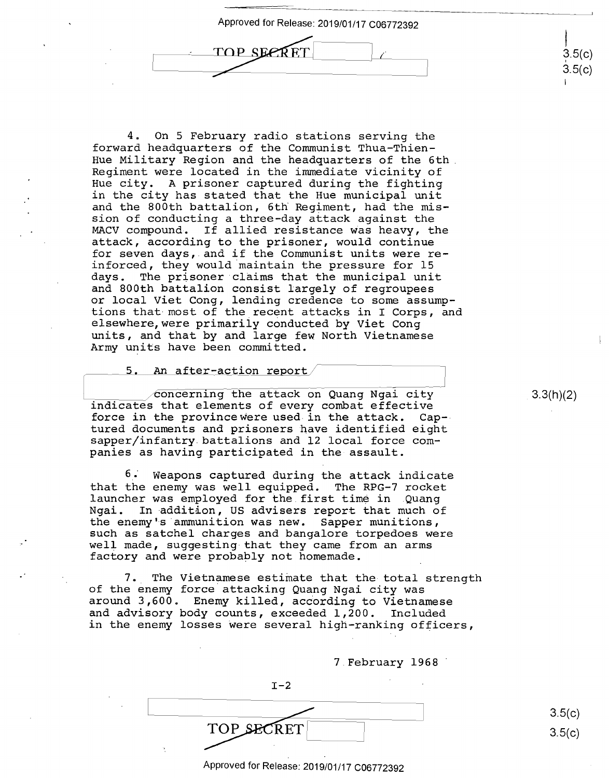Approved for Release: 2019/01/17 C06772392 Approved for Release: 2019/01/17 C06772392 TOP SEPRE

4. On 5 February radio stations serving the 4. On <sup>5</sup> February radio stations serving the forward headquarters of the Communist Thua-Thien-forward headquarters of the Communist Thua-Thien— Hue Military Region and the headquarters of the 6th Hue Military Region and the headquarters of the 6th. Regiment were located in the immediate vicinity of Regiment were located in the immediate vicinity of Hue city. A prisoner captured during the fighting Hue city. A prisoner captured during the fighting in the city has stated that the Hue municipal unit in the city has stated that the Hue municipal unit and the 800th battalion, 6th Regiment, had the mis-and the 800th battalion, 6th Regiment, had the mis sion of conducting a three-day attack against the sion ofconducting <sup>a</sup> three—day attack against the MACV compound. If allied resistance was heavy, the MACV compound. If allied resistance Was heavy, the attack, according to the prisoner, would continue attack, according to the prisoner, would continue attack, according to the prisoner, would continue<br>for seven days, and if the Communist units were reinforced, they would maintain the pressure for 15 inforced, they would maintain the pressure for 15 days. The prisoner claims that the municipal unit days. The prisoner claims that the municipal unit and 800th battalion consist largely of regroupees and 800th battalion consist largely of regroupees or local Viet Cong, lending credence to some assump-or local Viet Cong, lending credence to some assump tions that most of the recent attacks in I Corps, and tions that-most of the\_recent attacks in I Corps, and elsewhere,were primariiy conducted by Viet Cong elSewhere,were primarily conducted by Viet Cong units, and that by and large few North Vietnamese units, and that by and large few North Vietnamese Army units have been committed. Army units have been committed.

5. An after-action report

concerning the attack on Quang Ngai city indicates that elements of every combat effective indicates that elements of every combat effective force in the provincewere used in the attack. Cap-force in the provincewhre used in the attack. Cap— tured documents and prisoners have identified eight tured documents and prisoners have identified eight sapper/infantry battalions and 12 local force com-sapper/infantry.battalions and 12 local force com panies as having participated in the assault. panies as having participated in the-assault.

6 •· Weapons captured during the attack indicate 6} Weapons captured during the attack indicate that the enemy was well equipped. The RPG-7 rocket that the enemy was well equipped. The RPG—7 rocket launcher was employed for the first time in Quang launcher was employed for the.first time in .Quang Ngai. In -addition, US advisers report that much of Ngai. In-addition, US advisers report that much of the enemy's ·ammunition was new. Sapper munitions, the enemy's'ammunition was new. Sapper munitions, such as satchel charges and bangalore torpedoes were such as satchel charges and bangalore torpedoes were well made, suggesting that they came from an arms well made, suggesting-that they came from an arms factory and were probably not homemade. factory and were probably not homemade.

7. The Vietnamese estimate that the total strength 7.. The Vietnamese estimate that the-total strength of the enemy force attacking Quang Ngai city was of the enemy force attacking Quang Ngai city was around 3,600. Enemy killed, acCording to Vietnamese around 3,600. Enemy killed, according to Vietnamese and advisory body counts, exceeded 1,200. Included and advisory body counts, exceeded 1,200. Included in the enemy losses were several high-ranking officers, in the enemy losses Were several high—ranking officers,

7 February 1968 · 7.February 1968'

 $I-2$ 

TOP SECRET

 $3.5(c)$ 3.5(c)

#### Approved for Release: 2019/01/17 C06772392 Approved for Release: 2019/01/17 <sup>006772392</sup>

3.3(h)(2)

 $\frac{1}{2}$  $3.5(c)$  $3.5(c)$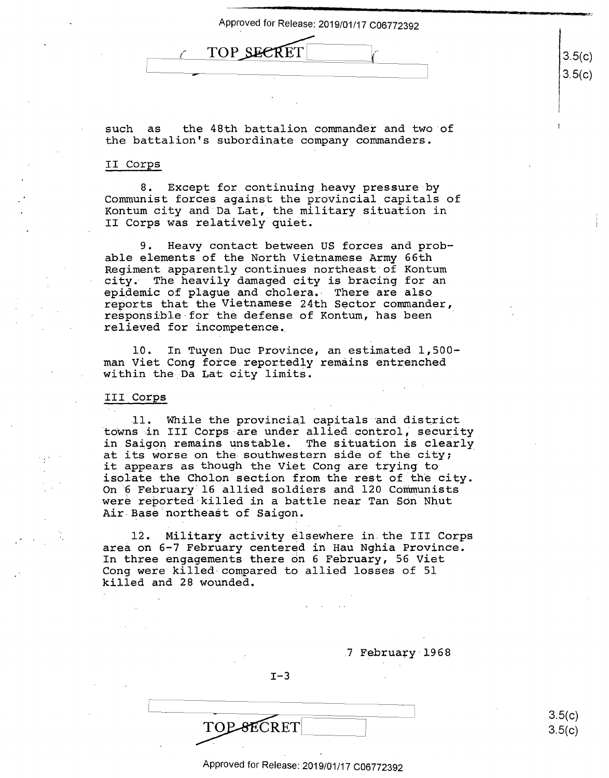| TOP SECRET |
|------------|
|            |

such as the 48th battalion commander and two of the battalion's subordinate company commanders. the battalion's subordinate company commanders.

## II Corps II-Corps

8. Except for continuing heavy pressure by 8. Except for\_continuing\_heavy pressure by Communist forces against the provincial capitals of Communist forces against the provincial Capitals of Kontum city and Da Lat, the military situation in Kontum city and Da Lat, the military situation in II Corps was relatively quiet. II Corps was relatively quiet. -

9. Heavy contact between US forces and prob-9. Heavy contact between US forces and prob able elements of the North Vietnamese Army 66th able elements of the North Vietnamese Army 66th Regiment apparently continues northeast·of Kontum Regiment apparently continues northeast of Kontum city. The heavily damaged city is bracing for an city. The heavily damaged city is bracing for an epidemic of plague and cholera.- There are also epidemic of plague and cholera.- There are also reports that the Vietnamese 24th Sector commander, reports that the Vietnamese 24th Sector commander, responsible for the defense of Kontum, has been relieved for incompetence •. relieved for incompetence.

10. In Tuyen Due Province, an estimated 1,500- 10. In Tuyen Duc ProvinCe, an estimated 1,500 man Viet Cong force reportedly remains entrenched within the Da Lat city limits.

## III **Corps**  III Corps

11. While the provincial capitals -and district .11. While the provincial capitals and district towns in III Corps are under allied control, security in Saigon remains unstable. The situation is clearly in Saigon remains unstable. The situation is clearly In saigon remains unstable. The situation is clearly at its worse on the southwestern side of the city; it appears as though the Viet Cong are trying to it appears as though the Viet Cong are trying to It appears as thought the view cong are erging to ity. On 6 February· 16 allied soldiers and 120 Communists On'6 February 16 allied soldiers and 120 Communists on o repruary to united betaters and the communities **Air-Base northeast** of **Saigon.** Air Base northeaét of Saigon.

12. Military activity elsewhere in the III Corps 12. Military activity elsewhere in.the III Corps area on 6-7 February centered in Hau Nghia Province. area on 6—7 February centered in Hau Nghia Province. In three engagements there on 6 February, 56 Viet In three engagements there on 6 February, 56 Viet Cong were killed-compared to allied losses of 51 Cong were killed-compared to allied losses of 51 killed and 28 wounded. killed and 28 wounded.

. The contract of the contract of the contract of the contract of the contract of the contract of the contract of the contract of the contract of the contract of the contract of the contract of the contract of the contrac

7 February 1968

 $I-3$ 

TOP-8ECRET

3.5(c)  $3.5(c)$ 

3.5(c)  $3.5(c)$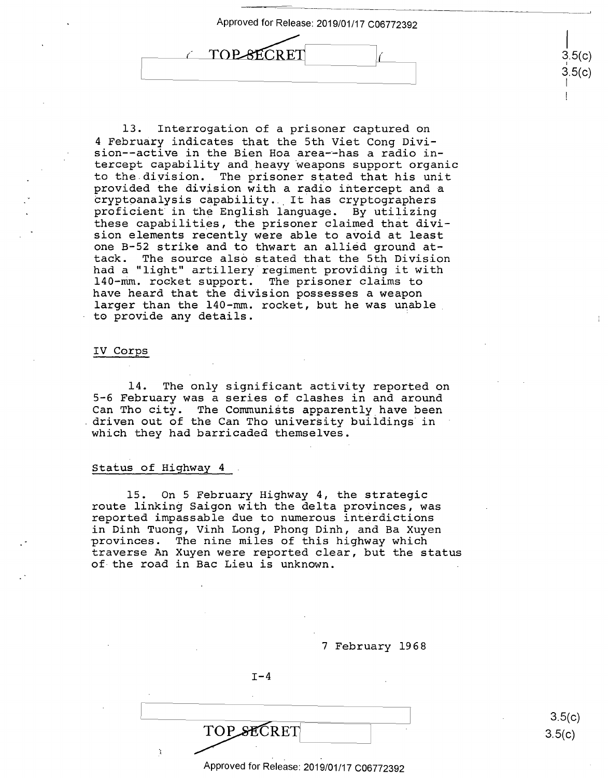

13. Interrogation of a prisoner captured on 13. Interrogation of <sup>a</sup> prisoner captured on 4 February indicates that the 5th Viet Cong Divi-4 February indicates that the 5th Viet Cong Division--active in the Bien Hoa area-~has a radio in-sion-—active in the Bien Hoa area—-has a radio in tercept capability and heayy weapons support organic tercept capability and heavy weapons support organic to the division. The prisoner stated that his unit to the.division. The prisoner stated that his unit provided the divtsion with a radio iritercept and a provided the division with <sup>a</sup> radio intercept and <sup>a</sup> provided the division with a radio intercept and a<br>cryptoanalysis capability. It has cryptographers proficient in the English language. By utilizing proficient in the English language. By utilizing these capabilities, the prisoner claimed that divi-these capabilities, the prisoner claimed that divi sion elements recently were able to avoid at least sion elements recently were able to avoid atleast one B-52 strike and t6 thwart an allied ground at-one B—52 strike and to thwart an allied ground at tack. The source also stated that the 5th Division tack. The source also stated that the 5th Division tack. The source also stated that the 5th Division<br>had a "light" artillery regiment providing it with 140-rrim. rocket support. The prisoner claims to l40—mm. rocket support. The prisoner claims to have heard that the division possesses a weapon have heard that the division possesses <sup>a</sup> weapon larger than the 140-mm. rocket, but he was unable larger than the l40-mm. rocket, but he was unable, to provide any details. to provide any details. '

### IV Corps IV Corps

14. The only significant activity reported on 14. The only significant activity reported on 5-6 February was a series of clashes in and around 5—6 February was <sup>a</sup> series of clashes in and around Can Tho city. The Communists apparently have been Can Tho city. The Communiéts apparently have been driven out of the Can Tho university buildings in which they had barricaded themselves. which they had barricaded themselves.

## Status of Highway 4 Status of Highway 4

15. On 5 February Highway 4, the strategic 15. On 5 February Highway 4, the strategic route linking Saigon with the delta provinces, was route linking Saigon with the delta provinces, was reported impassable due to numerous interdictions reported impassable due to numerous interdictions in Dinh Tuong, Vinh Long, Phong Dinh, and Ba Xuyen in Dinh Tuong, Vinh Long, Phong Dinh, and Ba Xuyen provinces. The nine miles of this highway which provinces. The nine miles of this highway which traverse An Xuyen were reported clear, but the status traverse An Xuyen were reported clear, but the status of the road in Bae Lieu is unknown. of-the road in Bac Lieu is unknown.

> 7 February 1968 7 February 1968 **I-4**  TOPSECRET

> > Approved for Release: 2019/01/17 C06772392 Approved for Release: 2019/01/17 006772392

3.5(c)  $3.5(c)$ 

 $\vert$ 3.5(c) I  $3.5(c)$ I I

|<br>3.5(c)<br>3.5(c)<br>|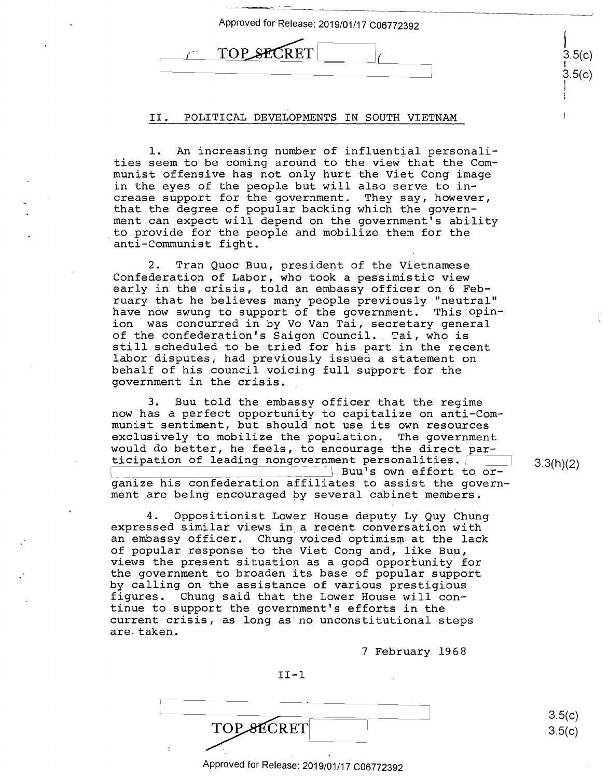| Approved for Release: 2019/01/17 C06772392 |                  |
|--------------------------------------------|------------------|
| <b>TOP SECRET</b>                          | 3.5(c)<br>3.5(c) |

## II. POLITICAL DEVELOPMENTS IN SOUTH VIETNAM II. POLITICAL DEVELOPMENTS IN SOUTH VIETNAM

1. An increasing number of influential personali-l. An'increasing number of influential personali ties seem to be coming around to the view that the Com-ties seem to be coming around to the view that the Communist offensive has not only hurt ~he Viet Cong image munist offensive has not only hurt the Viet Cong image in the eyes of the people but will also serve to in-in the eyes of the peOple but will also serve to in crease support for the government. They say, however, crease support for the government. They say, however, that the degree of popular backing which the govern-that the degree of popular backing which the government can expect will depend on the government's ability ment can expect will depend on the government's ability . to provide for the people and mobilize them for the \_to provide for the peOple and mobilize them for the anti-Communist fight. anti-Communist fight.

2. Tran Quoc Buu, president of the Vietnamese 2. Tran Quoc Buu, president of the Vietnamese Confederation of Labor, who took a pessimistic view Confederation of Labor, who took a-pessimistic view early in the crisis, told an embassy officer on 6 Feb-early in the crisis, told an embassy officer on 6 Feb ruary that he believes many people previously "neutral" ruary that he believes many people previously "neutral"<br>have now swung to support of the government. This opinion was concurred in by Vo Van Tai, secretary general ion was concurred in by Vo Van Tai, secretary general of the confederation's Saigon Council. Tai, who is of the confederation's Saigon Council.\_ Tai, who is still scheduled to be tried for his part in the recent still scheduled to be tried for his part in the recent labor disputes, had previously issued a statement on labor disPutes, had previously issued <sup>a</sup> statement on behalf of his council voicing full support for the behalf of his council voicing full support for the government in the crisis. government in the crisis. have now swung to support of the government. This opin—

3. Buu told the embassy officer that the regime 3. Buu told the embassy officer that the regime now has a perfect opportunity to capitalize on anti-Com-now has <sup>a</sup> perfect opportunity to capitalize on anti-Com munist sentiment, but should not use its own resources munist sentiment, but should not use its own resources exclusively to mobilize the population. The government exclusively to mobilize the population. The government would do better, he feels, to encourage the direct par-would do better, he feels, to encourage the direct par ticipation of leading nongovernment personalities. ticipation of leading nongovernment personalities. Buu's own effort to organize his confederation affiliates to assist the govern-ganize his confederation affiliates to assist the govern ment are being encouraged by several cabinet members. ment are being encouraged by several cabinet members. 1

4. Oppositionist Lower House deputy Ly Quy Chung 4. Oppositionist Lower House deputy Ly Quy Chung expressed similar views in a recent conversation with eXpressed similar views in\_a recent conversation with empressed simitar views in a recent conversation with<br>an embassy officer. Chung voiced optimism at the lack of popular response to the Viet Cong and, like Buµ, of popular response to the Viet Cong and, like Buu, views the present situation as a good opportunity for views the present situation as <sup>a</sup> good opportunity for the government to broaden its base of popular support the government to broaden its base of pOpular support by calling on the assistance of various prestigious by calling on the assistance of various prestigious figures. Chung said that the Lower House will con-figures. Chung said that the Lower House will con tinue to support the government's efforts in the tinue to support the government's efforts in the current crisis, as long as·no unconstitutional steps current crisis, as long as no unconstitutional steps are. taken. are.taken.

7 February 1968 7 February 1968

II-1 II-l

TOP SECRET

Approved for Release: 2019/01/17 C06772392 Approved for Release: 2019/01/17 <sup>006772392</sup>

3.3(h)(2) 3.3(h)(2)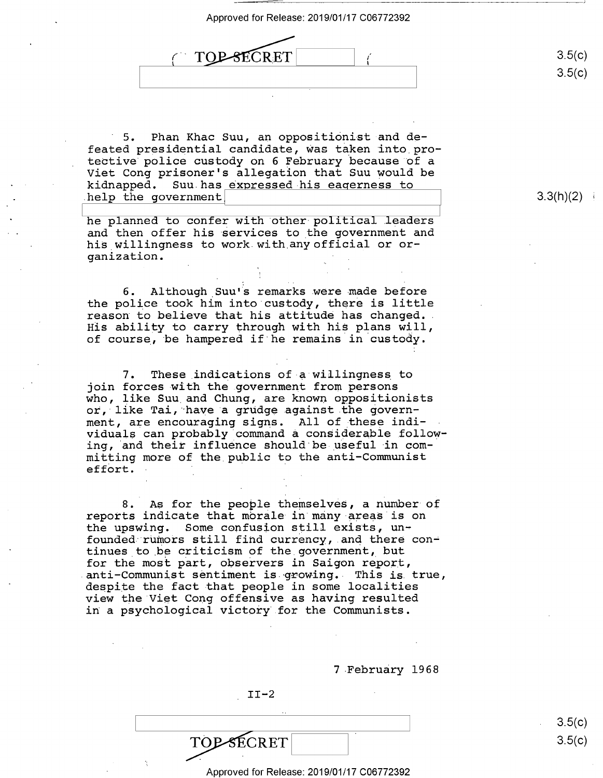Approved for Release: 2019/01/17 C06772392<br>  $\overbrace{ \begin{array}{c} \begin{array}{c} \begin{array}{c} \begin{array}{c} \end{array} \end{array} }}$ *(*  I TOP-8ECRET  $\mathcal{L}$ 

5. Phan Khac Suu, an oppositionist and defeated presidential candidate, ~as taken into pro-feated presidential candidate, Was taken into protective police custody on 6 February ·because of a tective'police custody on 6 February because of <sup>a</sup> Viet Cong prisoner's allegation that Suu would be Viet Cong prisoner's allegation that Suu would be kidnapped. Suu has expressed his eagerness to help the government and the series of the series of the series of the series of the series of the series of the

he planned to confer with other political leaders  $\overline{\phantom{a}}$ and then offer his services to the government and and then offer his services to the government and and then offer his services to the government and his willingness to work with any official or organization. ganization. -

6. Although\_Suu•s remarks were made before 6. Although\_SuuVs remarks.were-made before the police took him into custody, there is little the police took him into'custody, there is little the police took nim into custody, there is little<br>reason to believe that his attitude has changed. His ability to carry through with his plans will, His ability to carry through with his plans will, nis ability to cally through with his pians will,<br>of course, be hampered if he remains in custody.

7. These indications of a willingness to 7. These\_indications of-a willingness to join forces with the government from persons yoin forces with the government from persons<br>who, like Suu and Chung, are known oppositionists who, iike bud dha ondhy, are mhown oppositionities ment, are encouraging signs. All of \_these indi-ment, are encouraging signs. All of these indi widuals can probably command a considerable following, and their influence should be useful in committing more of the.public to the anti-Communist mitting more of the public to the anti-Communist<br>effort. effort.

8. As for the people themselves, a number of 8. As for the people themselves, <sup>a</sup> number of reports indicate that morale in many areas is on reports indicate that morale in many areas is on<br>the upswing. Some confusion still exists, unthe upswing. Some confusion still exists, un-<br>founded rumors still find currency, and there continues to be criticism of the government, but for the most part, observers in Saigon report, for the most part, observers in Saigon report, anti-Communist sentiment is growing. This is true, anti-Communist sentiment is growing. This is true,<br>despite the fact that people in some localities weighted the last that people in the localization in a psychological victory for the Communists. despite the fact-that people in some localities

7 February 1968

3.5(c)  $3.5(c)$ 

 $3.3(h)(2)$ 

II-2 II-2

TOPSECRET

TOP SECRET

Approved for Release: 2019/01/17 C06772392 Approved for Release: 2019/01/17 006772392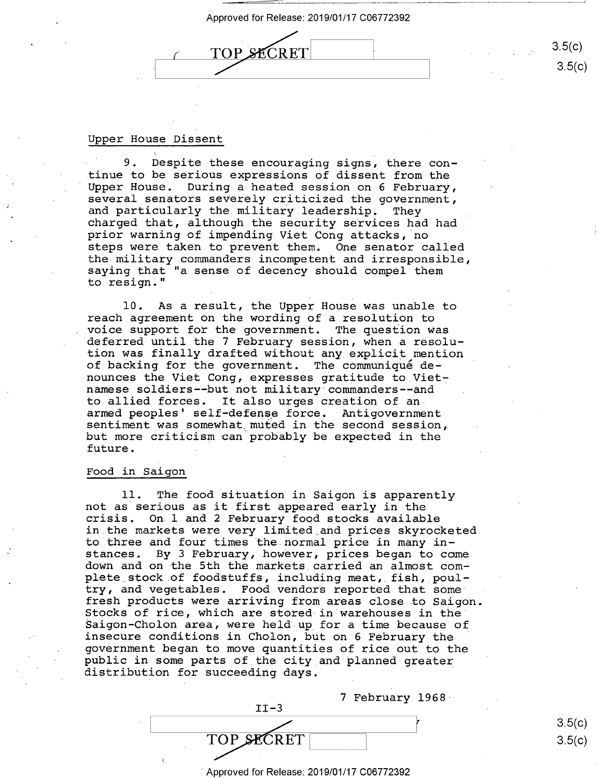# ( TOP SECRET  $\frac{1}{2}$ /

 $3.5(c)$ 3.5(c) 3.5(0)

## Upper House Dissent Upper House Dissent

9. Despite these encouraging signs, there con- 9. Despite these encouraging signs, there continue to be serious expressions of dissent from the tinue to be serious expressions of dissent from the Upper House. During a heated session on 6 February, Upper House. During a-heated session on 6 February, several senators severely criticized the government, several senators severely criticized the government, coveral condects covered, criticitied one government,<br>and particularly the military leadership. They and particularly one military reductionsp. They have particularly charged that, although the security services had had prior warning of impending Viet Cong attacks, no prior warning of impending Viet Cong attacks, no steps were taken to prevent them. One senator called steps were taken to prevent them. One senator called the military commanders incompetent and irresponsible, the military commanders incompetent and irresponsible, saying that "a sense of decency should compel them saying that "a sense of decency should compel them to resign." to resign."

10. As a result, the Upper House was unable to 10. As <sup>a</sup> result, the Upper House was unable to reach agreement on the wording of a resolution to reach agreement on the wording of <sup>a</sup> resolution to voice support for the government. The question was voice support for the government. The question Was were reppert for the gevernment. The question was<br>deferred until the 7 February session, when a resolution was finally drafted without any explicit mention tion was finally drafted without any explicit mention of backing for the government. The communique de-of backing for the government. The communiqué denounces the Viet Cong, expresses gratitude to Vietnamese soldiers--but not military commanders--and namese soldiers-—but not military commanders--and to allied forces. It also urges creation of an. to allied forces. It also urges creation of an: armed peoples' self-defense force. Antigovernment sentiment was somewhat. muted in the second session, sentiment was somewhat muted in the second session, but more criticism can.probably be expected in the but more criticism can probably be expected in the future. future.

## Food in Saigon Food in Saigon

11. The food situation in Saigon is apparently ll. The food situation in Saigon is apparently not as serious as it first appeared early in the not as serious as it first appeared early in the crisis. On. 1 and 2 February food stocks available crisis. On.l and 2 February food stocks available in.the markets were very limited .. a:nd prices skyrocketed in the markets were very limited and prices skyrocketed. to three and four times thenormal price in many in-to three and four times the normal price in many instances. By 3 February, however, prices began to come stances. By 3 February, however, prices began to come down and on the 5th the markets. carried an almost com-down and on the 5th the markets\_carried an almost com wow. The one can the maximous carried on dimest com-<br>plete stock of foodstuffs, including meat, fish, poulproce secon or recessarily, increasing meas, film, pour fresh pioducts were arriving from areas close to Saigon. fresh products were arriving from areas close to Saigon. Stocks of rice, which are stored· in warehouses in the Stocks of rice, which are stored-in warehouses in the' Saigon-Cholon area, were held-up for a time because of Saigon-Cholon area, were held up for <sup>a</sup> time because of Insecure conditions in Cholon, but on 6 February the government began to move quantities of rice out to the government began to move quantities of rice out to the public in some parts of the city and planned greater public in some parts of the city and planned greater parties in John parts of the energy and pranned greater

| $TT-3$     | 7 February 1968 |  |
|------------|-----------------|--|
|            |                 |  |
| TOP SECRET |                 |  |
|            |                 |  |

. Approved for Release: 2019/01/17 C06772392 Approved for Release: 2019/01/17 006772392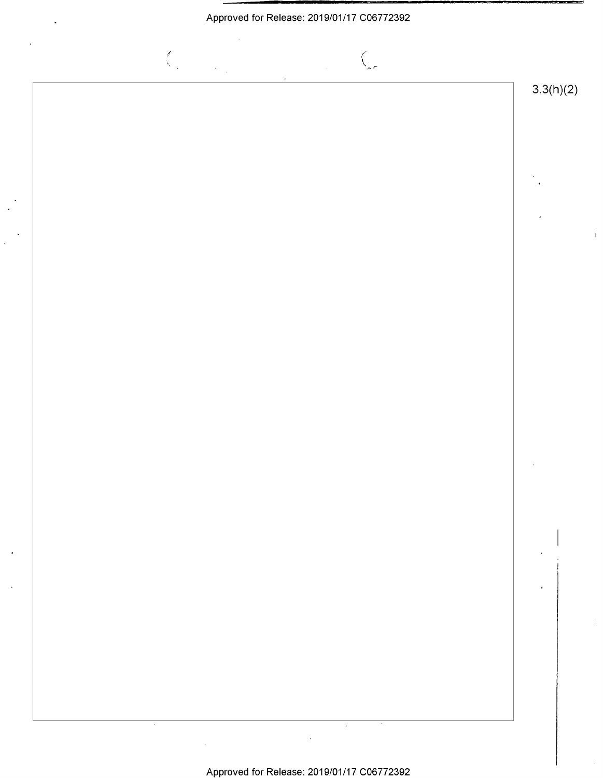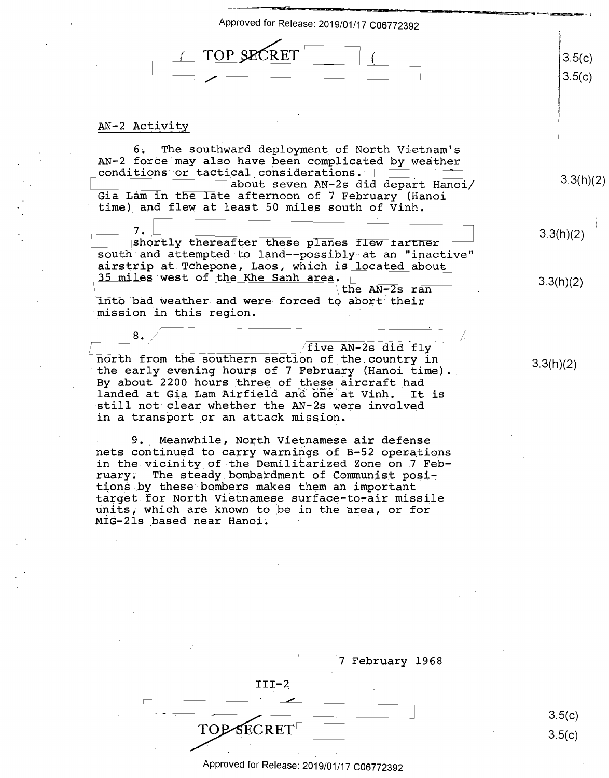| TOP SECRET<br>3.5(c)<br>3.5(c)<br>AN-2 Activity<br>6. The southward deployment of North Vietnam's<br>AN-2 force may also have been complicated by weather<br>conditions or tactical considerations.<br>about seven AN-2s did depart Hanoi/<br>Gia Lam in the late afternoon of 7 February (Hanoi<br>time) and flew at least 50 miles south of Vinh.<br>7.<br>3.3(h)(2)<br>shortly thereafter these planes flew tartner<br>south and attempted to land--possibly at an "inactive"<br>airstrip at Tchepone, Laos, which is located about<br>35 miles west of the Khe Sanh area.<br>3.3(h)(2)<br>the AN-2s ran<br>into bad weather and were forced to abort their<br>mission in this region.<br>8.<br>/five AN-2s did fly<br>north from the southern section of the country in<br>3.3(h)(2)<br>the early evening hours of 7 February (Hanoi time).<br>By about 2200 hours three of these aircraft had<br>landed at Gia Lam Airfield and one at Vinh.<br>It is<br>still not clear whether the AN-2s were involved<br>in a transport or an attack mission.<br>9. Meanwhile, North Vietnamese air defense<br>nets continued to carry warnings of B-52 operations<br>in the vicinity of the Demilitarized Zone on 7 Feb-<br>ruary. The steady bombardment of Communist posi-<br>tions by these bombers makes them an important<br>target for North Vietnamese surface-to-air missile<br>units, which are known to be in the area, or for<br>MIG-21s based near Hanoi. | Approved for Release: 2019/01/17 C06772392 |           |
|----------------------------------------------------------------------------------------------------------------------------------------------------------------------------------------------------------------------------------------------------------------------------------------------------------------------------------------------------------------------------------------------------------------------------------------------------------------------------------------------------------------------------------------------------------------------------------------------------------------------------------------------------------------------------------------------------------------------------------------------------------------------------------------------------------------------------------------------------------------------------------------------------------------------------------------------------------------------------------------------------------------------------------------------------------------------------------------------------------------------------------------------------------------------------------------------------------------------------------------------------------------------------------------------------------------------------------------------------------------------------------------------------------------------------------------------------------------|--------------------------------------------|-----------|
|                                                                                                                                                                                                                                                                                                                                                                                                                                                                                                                                                                                                                                                                                                                                                                                                                                                                                                                                                                                                                                                                                                                                                                                                                                                                                                                                                                                                                                                                |                                            |           |
|                                                                                                                                                                                                                                                                                                                                                                                                                                                                                                                                                                                                                                                                                                                                                                                                                                                                                                                                                                                                                                                                                                                                                                                                                                                                                                                                                                                                                                                                |                                            |           |
|                                                                                                                                                                                                                                                                                                                                                                                                                                                                                                                                                                                                                                                                                                                                                                                                                                                                                                                                                                                                                                                                                                                                                                                                                                                                                                                                                                                                                                                                |                                            | 3.3(h)(2) |
|                                                                                                                                                                                                                                                                                                                                                                                                                                                                                                                                                                                                                                                                                                                                                                                                                                                                                                                                                                                                                                                                                                                                                                                                                                                                                                                                                                                                                                                                |                                            |           |
|                                                                                                                                                                                                                                                                                                                                                                                                                                                                                                                                                                                                                                                                                                                                                                                                                                                                                                                                                                                                                                                                                                                                                                                                                                                                                                                                                                                                                                                                |                                            |           |
|                                                                                                                                                                                                                                                                                                                                                                                                                                                                                                                                                                                                                                                                                                                                                                                                                                                                                                                                                                                                                                                                                                                                                                                                                                                                                                                                                                                                                                                                |                                            |           |
|                                                                                                                                                                                                                                                                                                                                                                                                                                                                                                                                                                                                                                                                                                                                                                                                                                                                                                                                                                                                                                                                                                                                                                                                                                                                                                                                                                                                                                                                |                                            |           |
|                                                                                                                                                                                                                                                                                                                                                                                                                                                                                                                                                                                                                                                                                                                                                                                                                                                                                                                                                                                                                                                                                                                                                                                                                                                                                                                                                                                                                                                                |                                            |           |
|                                                                                                                                                                                                                                                                                                                                                                                                                                                                                                                                                                                                                                                                                                                                                                                                                                                                                                                                                                                                                                                                                                                                                                                                                                                                                                                                                                                                                                                                |                                            |           |

|         | 7 February 1968 |
|---------|-----------------|
| $III-2$ |                 |
|         |                 |

3.5(c) 3.5(c)

#### Approved for Release: 2019/01/17 C06772392 1 Approved for Release: 2019/01/17 <sup>006772392</sup>

 $TOP$ **SECRET**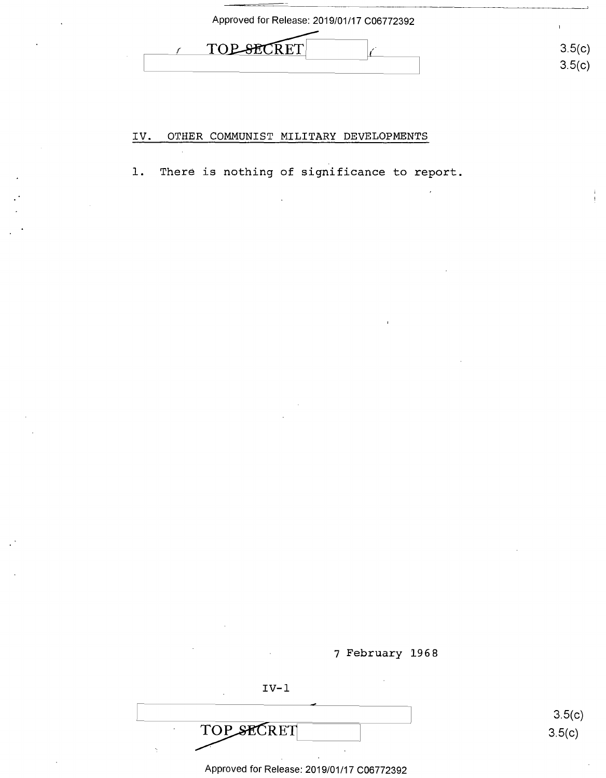| Approved for Release: 2019/01/17 C06772392 |                  |
|--------------------------------------------|------------------|
| TOP SHOT.<br>' 6'T .                       | 3.5(c)<br>3.5(c) |

#### IV. OTHER COMMUNIST MILITARY DEVELOPMENTS IV. OTHER COMMUNIST MILITARY DEVELOPMENTS

1. There is nothing of significance to report.

7 February 1968 7 February 1968

IV-1 IV-l

TOP SECRET

3.5(c) 3.5(c)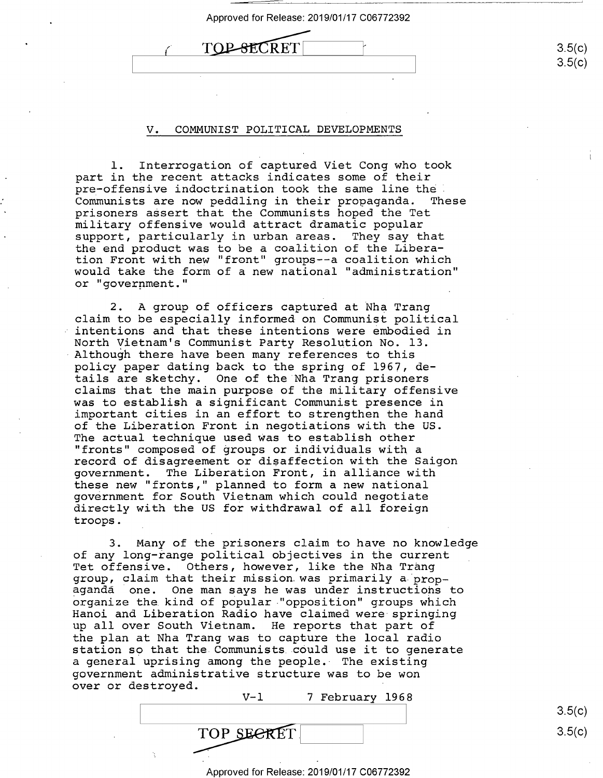| Approved for Release: 2019/01/17 C06772392 |                  |
|--------------------------------------------|------------------|
|                                            | 3.5(c)<br>3.5(c) |

#### V. COMMUNIST POLITICAL DEVELOPMENTS V. COMMUNIST POLITICAL DEVELOPMENTS

1. Interrogation of captured Viet Cong who took l. Interrogation of captured Viet Cong who took part in the recent attacks indicates some of their part in the recent attacks indicates some of their pre-offensive indoctrination took the same line the pre—offensive indoctrination took the same line thel Communists are now peddling in their propaganda. These Communists are now peddling in their prOpaganda. These prisoners assert that the Communists hoped the Tet prisoners aesert that the Communists hoped the Tet military offensive would attract dramatic popular military offensive would attract dramatic popular support, particularly in urban areas. They say that support, particularly in urban areas. They say that the end product was to be a coalition of the Libera-the end product was to be <sup>a</sup> coalition of the Liberation Front with new "front" groups--a coalition which tion Front with new "front" groups——a coalition which would take the form of a new national "administration" would take the form of a new national "administration" or "government."

2. A group of officers captured at Nha Trang claim to be especially informed on Communist political claim to be especially informed on Communist political intentions and that these intentions were embodied in intentions and that these intentions were embodied in North Vietnam's Communist Party Resolution No. 13. North Vietnam's Communist Party Resolution No. 13. Although there have been many references to this policy paper dating back to the spring of 1967, de-policy paper dating back to the spring of 1967, depoincy paper dating back to the spring of 1907, de<br>tails are sketchy. One of the Nha Trang prisoners claims that the main purpose of the military offensive claims that the main purpose of the military offensive was to establish a significant Communist presence in was to establish <sup>a</sup> significant Communist presence in important cities in an effort to strengthen the hand important cities in an effort to strengthen the hand of the Liberation Front in negotiations with the US. of the Liberation Front in negotiations with the US. The actual technique used was to establish other The actual technique used Was to establish other "fronts" composed of groups or individuals with a "fronts" composed of groups or individuals with <sup>a</sup> record of disagreement or di\$affection with the Saigon record of disagreement or disaffection with the Saigon government. The Liberation Front, in alliance with government. The Liberation Front, in alliance with these new "fronts," planned to form a new national these new "fronts," planned to form <sup>a</sup> new national government for South Vietnam which could negotiate government for South Vietnam which could negotiate directly with the US for withdrawal of all foreign directly with the US for withdrawal of all foreign troops. troops.

3. Many of the prisoners claim to have no knowledge 3. Many of the prisoners claim to have no knowledge of any long-range political objectives in the current of any long-range political objectives in the current Tet offensive. Others, however, like the Nha Trang Tet offensive. Others, however, like the Nha Trang ice officmatio: concret moved of the che and from-<br>group, claim that their mission was primarily a propaganda one. One man says he was under instructions to agenda one. One man says he was under instructions to organize the kind of popular "opposition" groups which Hanoi and Liberation Radio have claimed were springing Hanoi and Liberation Radio have claimed were springing up all over South Vietnam. He reports that part of up all over South Vietnam. He reports that part of the plan at Nha Trang was to capture the local radio the plan at Nha Trang was to capture the local radio station so that the. Communists. could use it to generate station so that the.Communists\_c0uld use it to generate a general uprising among the people. The existing <sup>a</sup> general uprising among the people.- The existing government administrative structure was to be won government administrative structure was to be won over or destroyed. over or destroyed.

| - | $V - I$          | 7 | February 1968 |  |  |        |
|---|------------------|---|---------------|--|--|--------|
|   |                  |   |               |  |  | 3.5(c) |
|   | TOP SEER<br>EREI |   |               |  |  | 3.5(c) |
|   |                  |   |               |  |  |        |

Approved for Release: 2019/01/17 C06772392 Approved for Release: 2019/01/17 006772392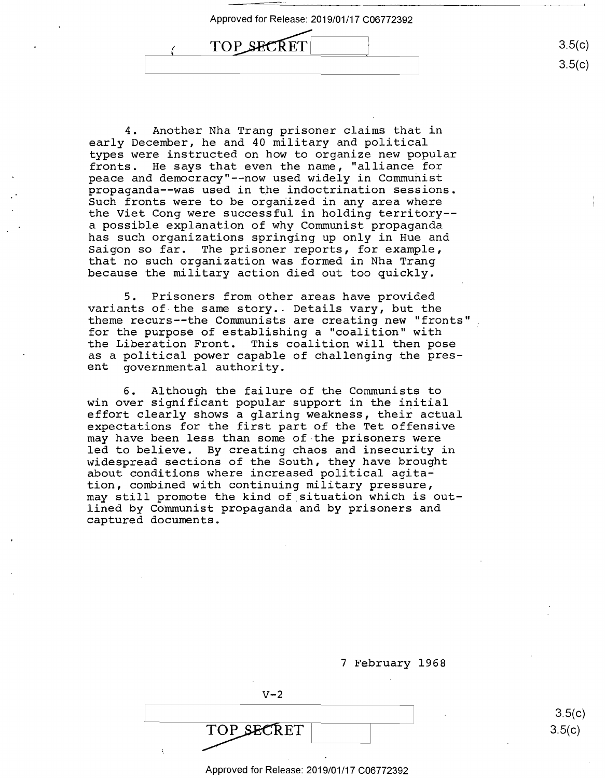Approved for Release: 2019/01/17 C06772392 Approved for Release: 2019/01/17 006772392 Approved for Release: 2011<br>
TOP\_SECRET  $\sqrt{1}$  TOP SECRET

4. Another Nha Trang prisoner claims that in 4. Another Nha Trang prisoner claims that in early December, he and 40 military and political early December, he and 40 military and political types were instructed on how to organize new popular types were instructed on how to organize new popular fronts. He says that even the name, "alliance for fronts. He says that even the name, "alliance for peace and democracy"--now used widely in Communist peace and democracy"-—now used widely in Communist propaganda--was used in the indoctrination sessions. prOpaganda-—was used in the indoctrination sessions. Such fronts were to be organized in any area where Such fronts were to be organized in any area where the Viet Cong were successful in holding territory-- the Viet Cong were successful in holding territory— a possible explanation of why Communist propaganda <sup>a</sup> possible explanation of why Communist propaganda has such organizations springing up only in Hue and has such organizations Springing up only in Hue and Saigon so far. The prisoner reports, for example, Saigon so far. The prisoner reports, for example, that no such organization was formed in Nha Trang that no such organization was formed in Nha Trang because the military action died out too quickly. because the military action died out too quickly.

5. Prisoners from other areas have provided 5. Prisoners from other areas have provided variants of the same story .. Details vary, but the variants of-the same story.. Details vary, but the theme recurs--the Communists are creating new "fronts" theme recurs—-the Communists are creating new "fronts" I for the purpose of establishing a "coalition" with for the purpose of establishing <sup>a</sup> "coalition" with the Liberation Front. This coalition will then pose the Liberation Front. This coalition will then pose as a political power capable of challenging the pres-as <sup>a</sup> political power capable of challenging the pres ent governmental authority. ent governmental authority.

6. Although the failure of the Communists to 6. Although the failure of the Communists to win over significant popular support in the initial win over significant popular support in the initial effort clearly shows a glaring weakness, their actual effort clearly shows <sup>a</sup> glaring weakness, their actual expectations for the first part of the Tet offensive expectations for the first part of the Tet offensive may have been less than some of-the prisoners were may have been less than some of the prisoners were led to believe. By creating chaos and insecurity in led to believe. By creating chaos and insecurity in widespread sections of the South, they have brought wideSpread sections of the South, they have brought widespread sections of the bouth, they have broaght<br>about conditions where increased political agitation, combined with continuing military pressure, tion, combined with continuing military pressure, may still promote the kind of situation which is out-may still promote the kind of situation which is outlined by Communist propaganda and by prisoners and lined by Communist prOpaganda and by prisoners and captured documents. captured documents.

|                 | 7 February 1968 |
|-----------------|-----------------|
| $V - 2$         |                 |
| TOP SECRET<br>٠ |                 |

Approved for Release: 2019/01/17 C06772392 Approved for Release: 2019/01/17 006772392

3.5(c)  $3.5(c)$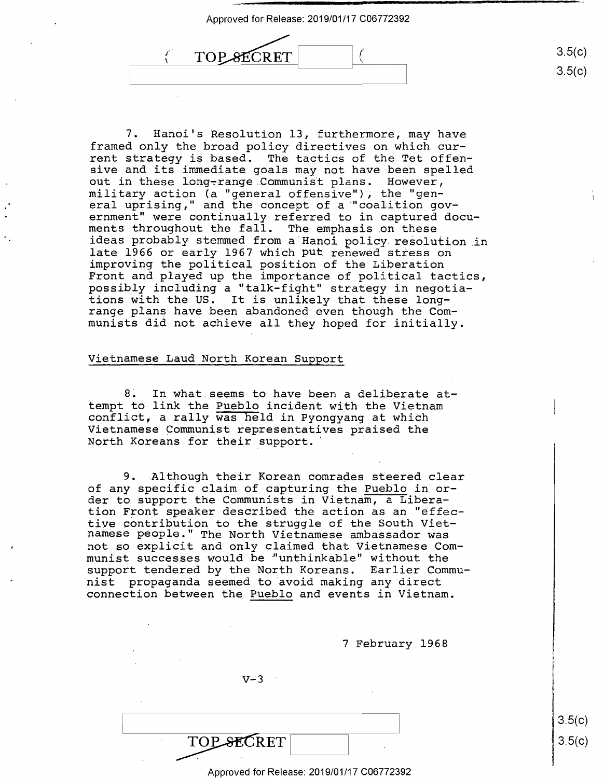3.5(c) 3.5(c)

3.5(c)

 $3.5(c)$ 

*I*   $\mathbf{r}$ TOP SECRET (  $($  TOP SECRET  $|$ 

7. Hanoi's Resolution 13, furthermore, may have 7. Hanoi's Resolution 13, furthermore, may have framed only the broad policy directives on which cur-framed only the broad policy directives on which current strategy is based. The tactics of the Tet offen-rent strategy is based. The tactics of the Tet offen sive and its immediate goals may not have been spelled sive and its immediate goals may not have been spelled out in these long-range Communist plans. However, military action (a "general offensive"), the "gen-military action (a "general offensive"), the "gen eral uprising," and the concept of a "coalition gov-eral uprising," and the concept of <sup>a</sup> "coalition gov ernment" were continually referred to in captured docu~ ernment" were continually referred to in captured docu ments throughout the fall. The emphasis .on these ments throughout the fall. The emphasis on these ideas probably stemmed from a Hanoi policy resolution in near premain premains in a mandi point resolution in improving the political position of the Liberation improving the political position of the Liberation Front and played up the importance of political tactics, Front and played up the importance of political tactics, possibly including a "talk-fight" strategy in negotia-possibly including <sup>a</sup> "talk—fight" strategy in negotia tions with the US. It is unlikely that these long-tions with the US. It is unlikely that these long range plans have been abandoned even though the Com-range plans have been abandoned even though the Com munists did not achieve all they hoped for initially. munists did not achieve all they hOped for initially.

## Vietnamese Laud North Korean Support Vietnamese Laud North Korean Support

8~ In what.seems to have been a deliberate at-8. In what.seems to have been a deliberate at tempt to link the Pueblo incident with the Vietnam tempt to link the Pueblo incident with the Vietnam compe to find the *ideal* including with the victima. Vietnamese Communist representatives praised the Vietnamese Communist representatives praised the North Koreans for their support. North Koreans for their support.'

9. Although their Korean comrades steered clear 9. .Although their Korean comrades steered clear of any specific claim of capturing the Pueblo in or-of any specific claim of capturing the Pueblo in or der to support the Communists in Vietnam, a Libera-der to support the Communists in Vietnam, <sup>a</sup> Libera tion Front speaker described the action as an "effec-tion Front speaker described the action as an "effective GOntribution to the struggle of the South Viet-tive contribution to the struggle of the South Vietnamese people." The North Vietnamese ambassador was namese people." The North Vietnamese ambassador was not so explicit and only claimed that Vietnamese Com-not so eXplicit and only claimed that Vietnamese Com munist successes would be "unthinkable" without the support tendered by the North Koreans. Earlier Commu-support tendered by the North Koreans. Earlier Commu nist propaganda seemed to avoid making any direct nist propaganda seemed to avoid making any direct connection between the Pueblo and events in Vietnam. connection between the Pueblo and events in Vietnam.

7 February 1968 7 February 1968

 $V - 3$ 

TOP SECRET

TOPSECRET|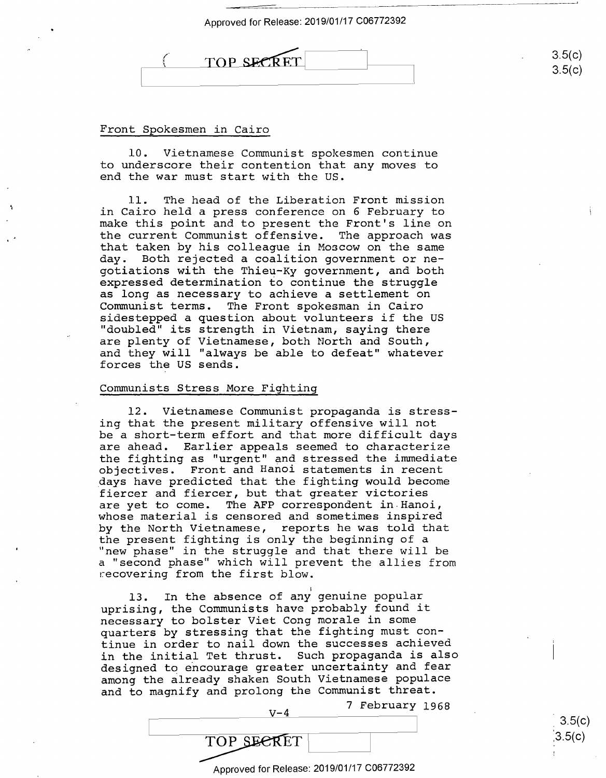$3.5(c)$ 3.5(c)

3.5(c) :3.5(c)



Front Spokesmen in Cairo Front Spokesmen in Cairo

10. Vietnamese Communist spokesmen continue 10. Vietnamese Communist spokesmen continue to underscore their contention that any moves to to underscore their contention that any moves to end the war must start with the us. end the war must start with the US.

11. The head of the Liberation Front mission ll. The head ofthe Liberation Front mission in Cairo held a press conference on 6 February to in Cairo held <sup>a</sup> press conference on 6 February to make this point and to present the Front's line on make this point and to present the Front's line on the current Communist offensive. The approach was the current Communist offensive. The approach was that taken by his colleague in Moscow on the same that taken by his colleague in Moscow on the same day. Both rejected a coalition government or ne-day. Both rejected <sup>a</sup> coalition government or ne gotiations with the Thieu-Ky government, and both gotiations with the Thieu-Ky government, and both expressed determination to continue the struggle expressed determination to continue the struggle as long as necessary to achieve a settlement on as long as necessary to achieve <sup>a</sup> settlement on Communist terms. The Front spokesman in Cairo Communist terms. The Front Spokesman in Cairo sidestepped a question about volunteers if the US sidestepped <sup>a</sup> question about volunteers if the US "doubled" its strength in Vietnam, saying there "doubled" its strength in Vietnam, saying there are plenty of Vietnamese, both North and South, are plenty of Vietnamese, both North and South, and they will "always be able to defeat" whatever and they will "always be able to defeat" whatever forces the US sends. forces the US sends.

## Communists Stress More Fighting Communists Stress More Fighting

12. Vietnamese Communist propaganda is stress-12. Vietnamese Communist prOpaganda is stressing that the present military offensive will not ing that the present military offensive will not be a short-term effort and that more difficult days be <sup>a</sup> short—term effort and that more difficult days are ahead. Earlier appeals seemed to characterize are ahead. Earlier appeals seemed to characterize the fighting as "urgent" and stressed the immediate the fighting as "urgent" and stressed the immediate objectives. Front and Hanoi statements in recent objectives. Front and Hanoi statements in recent days have predicted that the fighting would become Idays have predicted that the fighting would become fiercer and fiercer, but that greater victories fiercer and fiercer, but that greater victories are yet to come. The AFP correspondent in.Hanoi, are yet to come. The AFP correspondent in.Hanoi, are yet to come: The Arr correspondent In handr,<br>whose material is censored and sometimes inspired by the North Vietnamese, reports he was told that by the North Vietnamese, reports he was told that the present fighting is only the beginning of a the present fighting is only the beginning of <sup>a</sup> "new phase" in the struggle and that there will be "new phase" in the struggle and that there will be new phase in the struggie and that there will be<br>a "second phase" which will prevent the allies from a second phase which will preve.<br>recovering from the first blow.

I 13. In the absence of any genuine popular uprising, the Communists have probably found it uprising, the Communists have probably found it necessary to bolster Viet Cong morale in some necessary to bolster Viet Cong morale in some quarters by stressing that the fighting must con-quarters by stressing that the fighting must continue in order to nail down the successes achieved tinue in order to nail down the successes achieved in the initial Tet thrust. Such propaganda is also in the initial Tet thrust. Such propaganda is also designed to ericourage greater uncertainty and fear designed to encourage greater uncertainty and fear among the already shaken South Vietnamese populace among the already shaken South Vietnamese populace and to magnify and prolong the Communist threat. and to magnify and prolong the Communist threat.

7 February 1968 7 February 1968

1999 - Paul Barbara

TOP SECRET

Approved for Release: 2019/01/17 C06772392 Approved for Release: 2019/01/17 <sup>006772392</sup>

 $V-4$